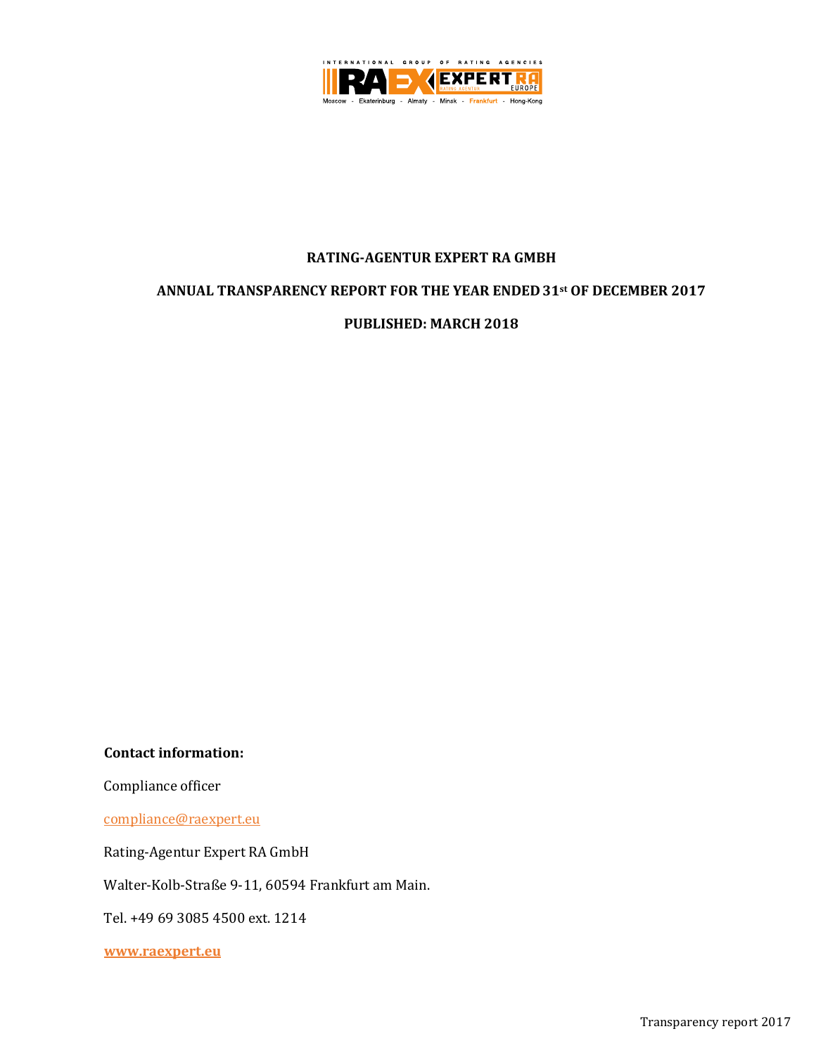

### **RATING-AGENTUR EXPERT RA GMBH**

### **ANNUAL TRANSPARENCY REPORT FOR THE YEAR ENDED 31st OF DECEMBER 2017**

### **PUBLISHED: MARCH 2018**

**Contact information:**

Compliance officer

[compliance@raexpert.eu](mailto:compliance@raexpert.eu)

Rating-Agentur Expert RA GmbH

Walter-Kolb-Straße 9-11, 60594 Frankfurt am Main.

Tel. +49 69 3085 4500 ext. 1214

**[www.raexpert.eu](http://www.raexpert.eu/)**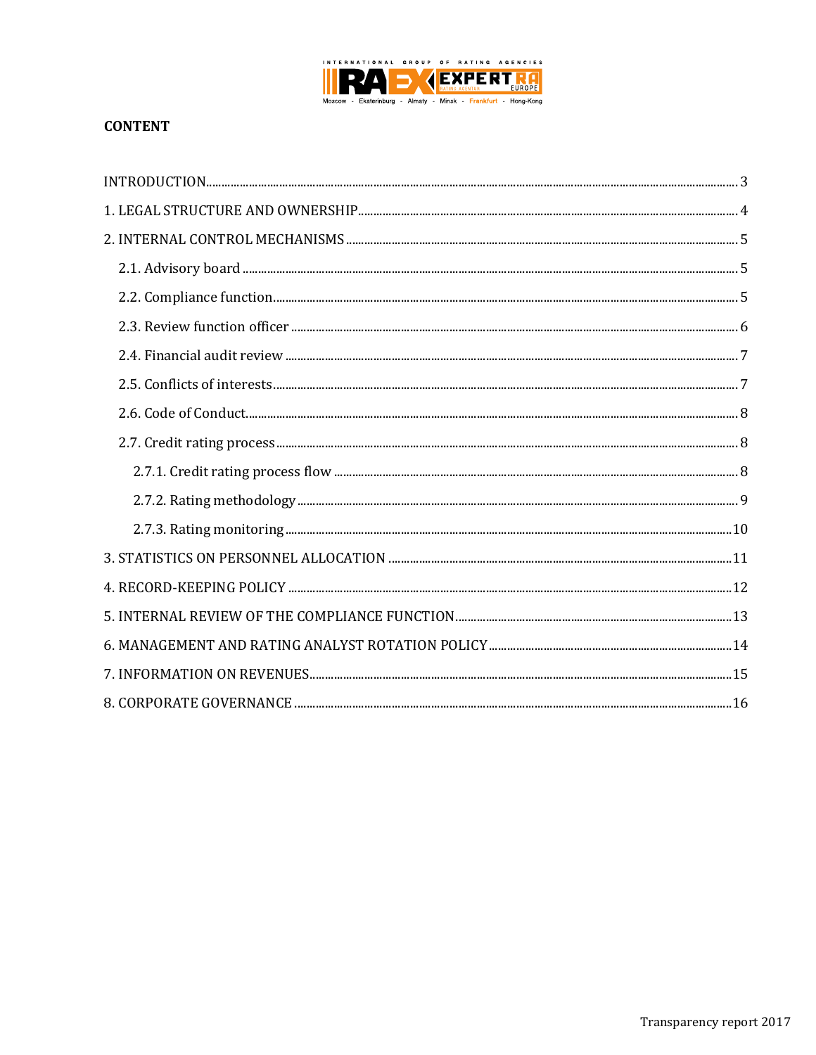

# **CONTENT**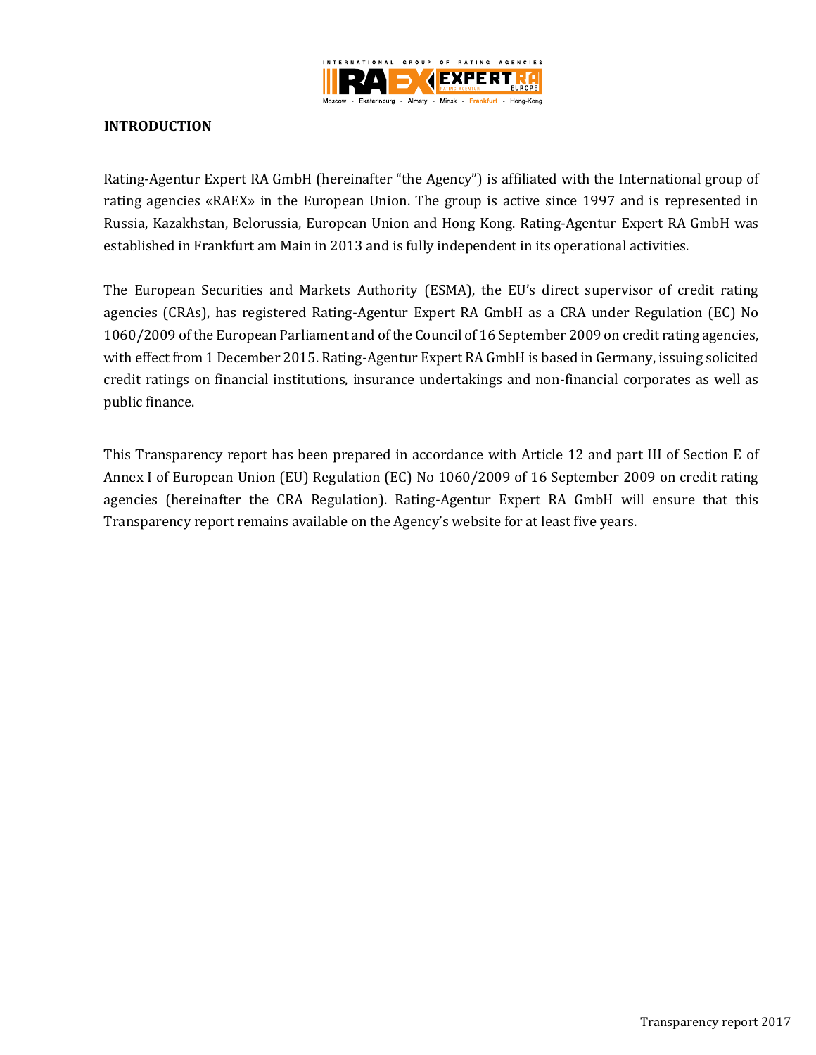

## <span id="page-2-0"></span>**INTRODUCTION**

Rating-Agentur Expert RA GmbH (hereinafter "the Agency") is affiliated with the International group of rating agencies «RAEX» in the European Union. The group is active since 1997 and is represented in Russia, Kazakhstan, Belorussia, European Union and Hong Kong. Rating-Agentur Expert RA GmbH was established in Frankfurt am Main in 2013 and is fully independent in its operational activities.

The European Securities and Markets Authority (ESMA), the EU's direct supervisor of credit rating agencies (CRAs), has registered Rating-Agentur Expert RA GmbH as a CRA under Regulation (EC) No 1060/2009 of the European Parliament and of the Council of 16 September 2009 on credit rating agencies, with effect from 1 December 2015. Rating-Agentur Expert RA GmbH is based in Germany, issuing solicited credit ratings on financial institutions, insurance undertakings and non-financial corporates as well as public finance.

This Transparency report has been prepared in accordance with Article 12 and part III of Section E of Annex I of European Union (EU) Regulation (EC) No 1060/2009 of 16 September 2009 on credit rating agencies (hereinafter the CRA Regulation). Rating-Agentur Expert RA GmbH will ensure that this Transparency report remains available on the Agency's website for at least five years.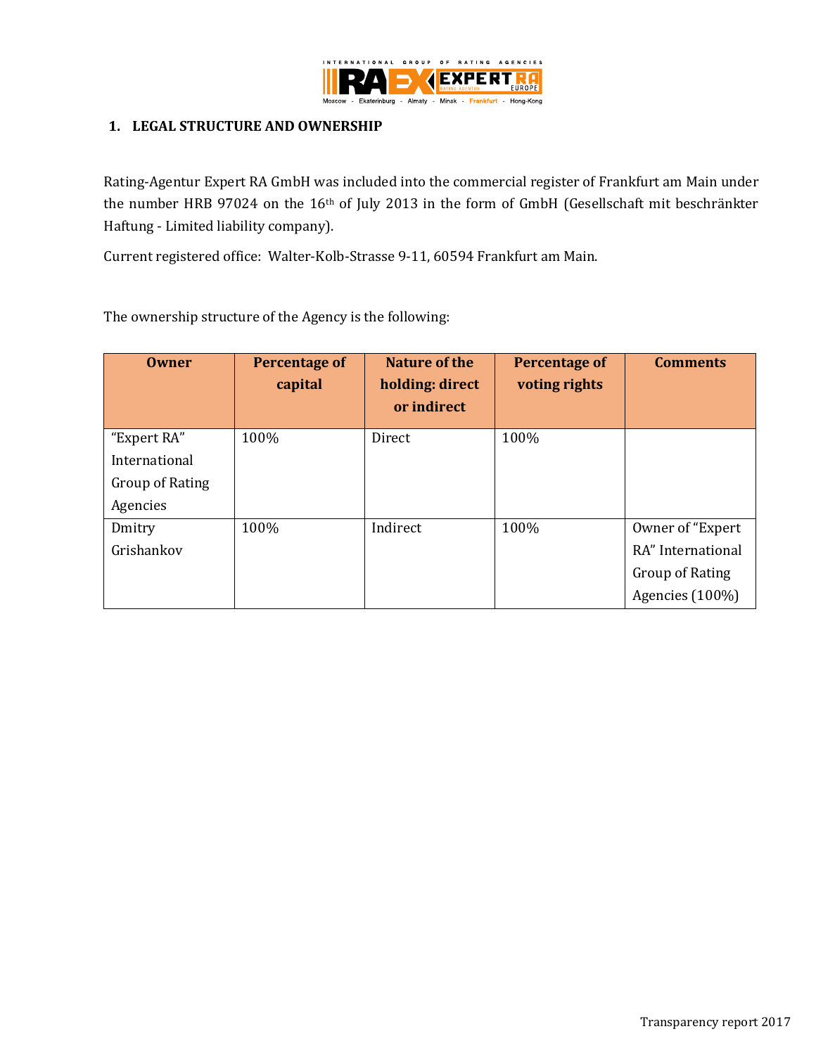

### <span id="page-3-0"></span>**1. LEGAL STRUCTURE AND OWNERSHIP**

Rating-Agentur Expert RA GmbH was included into the commercial register of Frankfurt am Main under the number HRB 97024 on the 16th of July 2013 in the form of GmbH (Gesellschaft mit beschränkter Haftung - Limited liability company).

Current registered office: Walter-Kolb-Strasse 9-11, 60594 Frankfurt am Main.

The ownership structure of the Agency is the following:

| <b>Owner</b>           | <b>Percentage of</b><br>capital | Nature of the<br>holding: direct<br>or indirect | <b>Percentage of</b><br>voting rights | <b>Comments</b>   |
|------------------------|---------------------------------|-------------------------------------------------|---------------------------------------|-------------------|
| "Expert RA"            | 100%                            | Direct                                          | 100%                                  |                   |
| International          |                                 |                                                 |                                       |                   |
| <b>Group of Rating</b> |                                 |                                                 |                                       |                   |
| Agencies               |                                 |                                                 |                                       |                   |
| Dmitry                 | 100%                            | Indirect                                        | 100%                                  | Owner of "Expert" |
| Grishankov             |                                 |                                                 |                                       | RA" International |
|                        |                                 |                                                 |                                       | Group of Rating   |
|                        |                                 |                                                 |                                       | Agencies (100%)   |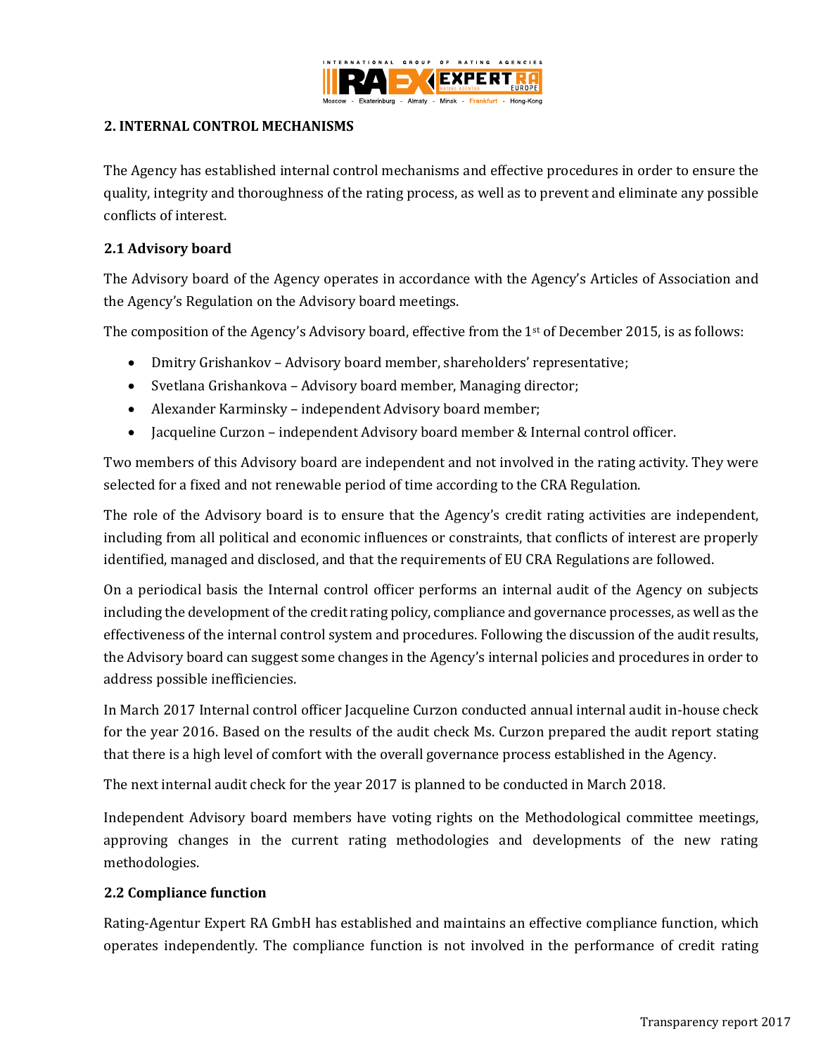

### <span id="page-4-0"></span>**2. INTERNAL CONTROL MECHANISMS**

The Agency has established internal control mechanisms and effective procedures in order to ensure the quality, integrity and thoroughness of the rating process, as well as to prevent and eliminate any possible conflicts of interest.

## <span id="page-4-1"></span>**2.1 Advisory board**

The Advisory board of the Agency operates in accordance with the Agency's Articles of Association and the Agency's Regulation on the Advisory board meetings.

The composition of the Agency's Advisory board, effective from the  $1<sup>st</sup>$  of December 2015, is as follows:

- Dmitry Grishankov Advisory board member, shareholders' representative;
- Svetlana Grishankova Advisory board member, Managing director;
- Alexander Karminsky independent Advisory board member;
- Jacqueline Curzon independent Advisory board member & Internal control officer.

Two members of this Advisory board are independent and not involved in the rating activity. They were selected for a fixed and not renewable period of time according to the CRA Regulation.

The role of the Advisory board is to ensure that the Agency's credit rating activities are independent, including from all political and economic influences or constraints, that conflicts of interest are properly identified, managed and disclosed, and that the requirements of EU CRA Regulations are followed.

On a periodical basis the Internal control officer performs an internal audit of the Agency on subjects including the development of the credit rating policy, compliance and governance processes, as well as the effectiveness of the internal control system and procedures. Following the discussion of the audit results, the Advisory board can suggest some changes in the Agency's internal policies and procedures in order to address possible inefficiencies.

In March 2017 Internal control officer Jacqueline Curzon conducted annual internal audit in-house check for the year 2016. Based on the results of the audit check Ms. Curzon prepared the audit report stating that there is a high level of comfort with the overall governance process established in the Agency.

The next internal audit check for the year 2017 is planned to be conducted in March 2018.

Independent Advisory board members have voting rights on the Methodological committee meetings, approving changes in the current rating methodologies and developments of the new rating methodologies.

## <span id="page-4-2"></span>**2.2 Compliance function**

Rating-Agentur Expert RA GmbH has established and maintains an effective compliance function, which operates independently. The compliance function is not involved in the performance of credit rating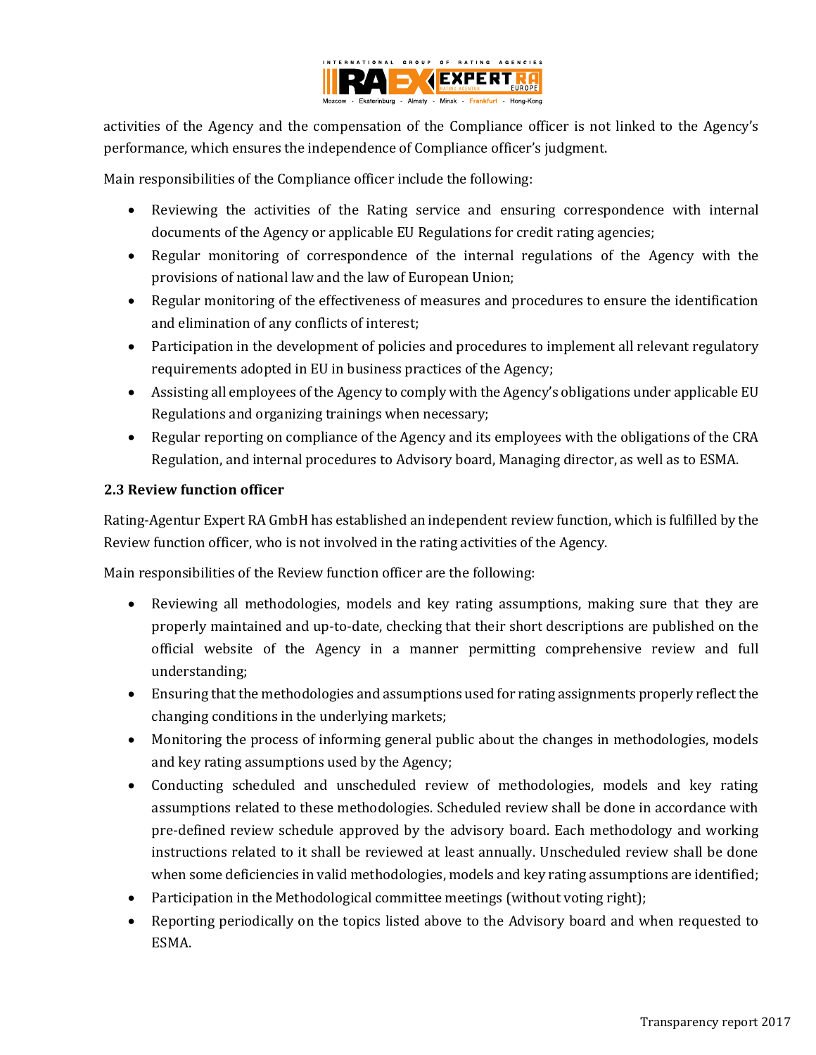

activities of the Agency and the compensation of the Compliance officer is not linked to the Agency's performance, which ensures the independence of Compliance officer's judgment.

Main responsibilities of the Compliance officer include the following:

- Reviewing the activities of the Rating service and ensuring correspondence with internal documents of the Agency or applicable EU Regulations for credit rating agencies;
- Regular monitoring of correspondence of the internal regulations of the Agency with the provisions of national law and the law of European Union;
- Regular monitoring of the effectiveness of measures and procedures to ensure the identification and elimination of any conflicts of interest;
- Participation in the development of policies and procedures to implement all relevant regulatory requirements adopted in EU in business practices of the Agency;
- Assisting all employees of the Agency to comply with the Agency's obligations under applicable EU Regulations and organizing trainings when necessary;
- Regular reporting on compliance of the Agency and its employees with the obligations of the CRA Regulation, and internal procedures to Advisory board, Managing director, as well as to ESMA.

## <span id="page-5-0"></span>**2.3 Review function officer**

Rating-Agentur Expert RA GmbH has established an independent review function, which is fulfilled by the Review function officer, who is not involved in the rating activities of the Agency.

Main responsibilities of the Review function officer are the following:

- Reviewing all methodologies, models and key rating assumptions, making sure that they are properly maintained and up-to-date, checking that their short descriptions are published on the official website of the Agency in a manner permitting comprehensive review and full understanding;
- Ensuring that the methodologies and assumptions used for rating assignments properly reflect the changing conditions in the underlying markets;
- Monitoring the process of informing general public about the changes in methodologies, models and key rating assumptions used by the Agency;
- Conducting scheduled and unscheduled review of methodologies, models and key rating assumptions related to these methodologies. Scheduled review shall be done in accordance with pre-defined review schedule approved by the advisory board. Each methodology and working instructions related to it shall be reviewed at least annually. Unscheduled review shall be done when some deficiencies in valid methodologies, models and key rating assumptions are identified;
- Participation in the Methodological committee meetings (without voting right);
- Reporting periodically on the topics listed above to the Advisory board and when requested to ESMA.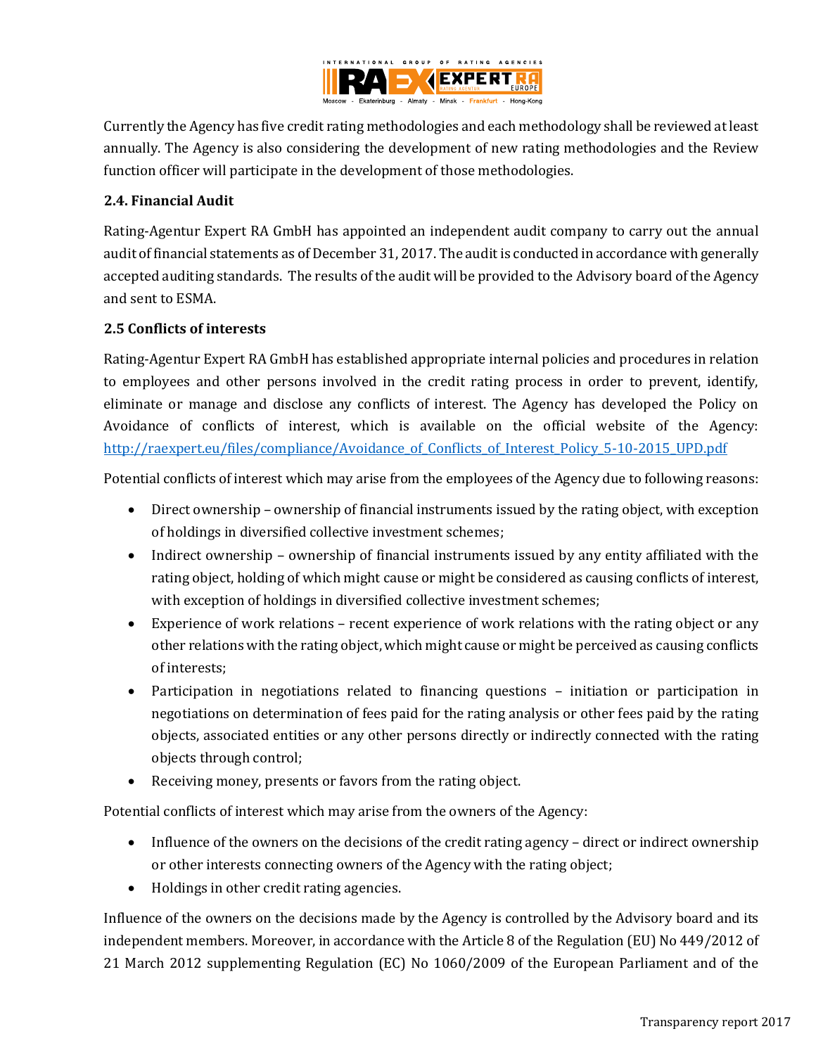

Currently the Agency has five credit rating methodologies and each methodology shall be reviewed at least annually. The Agency is also considering the development of new rating methodologies and the Review function officer will participate in the development of those methodologies.

## <span id="page-6-0"></span>**2.4. Financial Audit**

Rating-Agentur Expert RA GmbH has appointed an independent audit company to carry out the annual audit of financial statements as of December 31, 2017. The audit is conducted in accordance with generally accepted auditing standards. The results of the audit will be provided to the Advisory board of the Agency and sent to ESMA.

## <span id="page-6-1"></span>**2.5 Conflicts of interests**

Rating-Agentur Expert RA GmbH has established appropriate internal policies and procedures in relation to employees and other persons involved in the credit rating process in order to prevent, identify, eliminate or manage and disclose any conflicts of interest. The Agency has developed the Policy on Avoidance of conflicts of interest, which is available on the official website of the Agency: http://raexpert.eu/files/compliance/Avoidance of Conflicts of Interest Policy 5-10-2015 UPD.pdf

Potential conflicts of interest which may arise from the employees of the Agency due to following reasons:

- Direct ownership ownership of financial instruments issued by the rating object, with exception of holdings in diversified collective investment schemes;
- Indirect ownership ownership of financial instruments issued by any entity affiliated with the rating object, holding of which might cause or might be considered as causing conflicts of interest, with exception of holdings in diversified collective investment schemes;
- Experience of work relations recent experience of work relations with the rating object or any other relations with the rating object, which might cause or might be perceived as causing conflicts of interests;
- Participation in negotiations related to financing questions initiation or participation in negotiations on determination of fees paid for the rating analysis or other fees paid by the rating objects, associated entities or any other persons directly or indirectly connected with the rating objects through control;
- Receiving money, presents or favors from the rating object.

Potential conflicts of interest which may arise from the owners of the Agency:

- Influence of the owners on the decisions of the credit rating agency direct or indirect ownership or other interests connecting owners of the Agency with the rating object;
- Holdings in other credit rating agencies.

Influence of the owners on the decisions made by the Agency is controlled by the Advisory board and its independent members. Moreover, in accordance with the Article 8 of the Regulation (EU) No 449/2012 of 21 March 2012 supplementing Regulation (EC) No 1060/2009 of the European Parliament and of the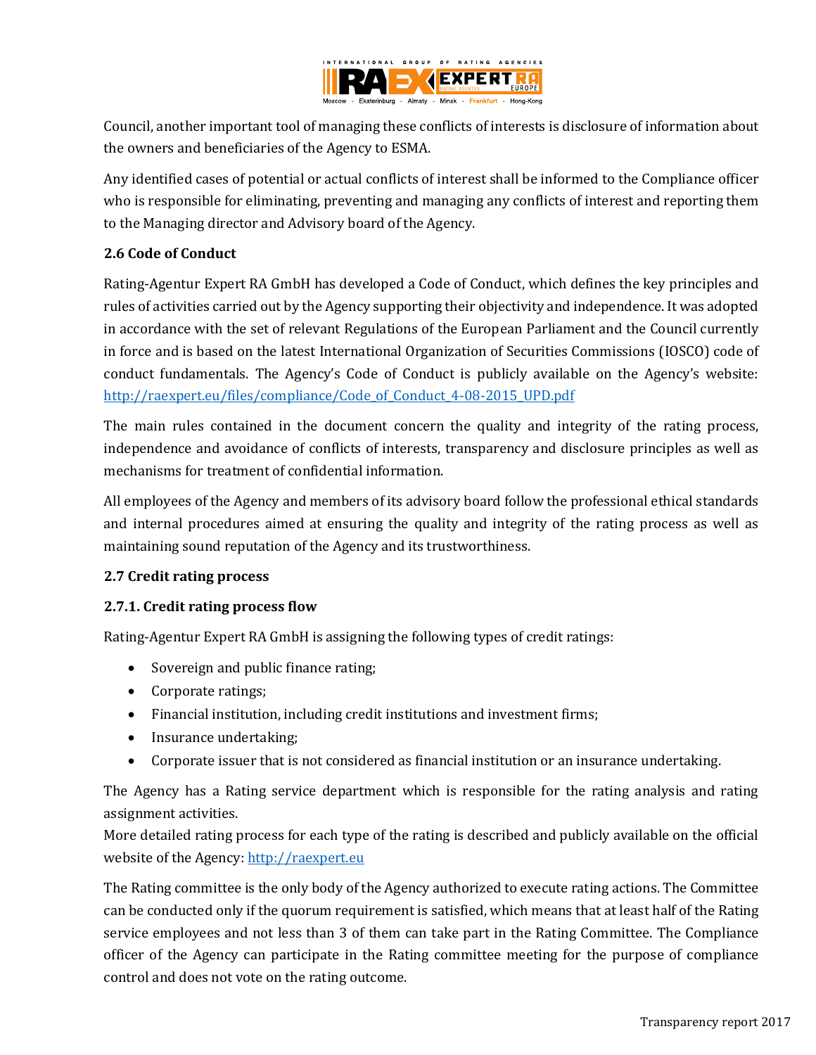

Council, another important tool of managing these conflicts of interests is disclosure of information about the owners and beneficiaries of the Agency to ESMA.

Any identified cases of potential or actual conflicts of interest shall be informed to the Compliance officer who is responsible for eliminating, preventing and managing any conflicts of interest and reporting them to the Managing director and Advisory board of the Agency.

## <span id="page-7-0"></span>**2.6 Code of Conduct**

Rating-Agentur Expert RA GmbH has developed a Code of Conduct, which defines the key principles and rules of activities carried out by the Agency supporting their objectivity and independence. It was adopted in accordance with the set of relevant Regulations of the European Parliament and the Council currently in force and is based on the latest International Organization of Securities Commissions (IOSCO) code of conduct fundamentals. The Agency's Code of Conduct is publicly available on the Agency's website: [http://raexpert.eu/files/compliance/Code\\_of\\_Conduct\\_4-08-2015\\_UPD.pdf](http://raexpert.eu/files/compliance/Code_of_Conduct_4-08-2015_UPD.pdf)

The main rules contained in the document concern the quality and integrity of the rating process, independence and avoidance of conflicts of interests, transparency and disclosure principles as well as mechanisms for treatment of confidential information.

All employees of the Agency and members of its advisory board follow the professional ethical standards and internal procedures aimed at ensuring the quality and integrity of the rating process as well as maintaining sound reputation of the Agency and its trustworthiness.

### <span id="page-7-1"></span>**2.7 Credit rating process**

## <span id="page-7-2"></span>**2.7.1. Credit rating process flow**

Rating-Agentur Expert RA GmbH is assigning the following types of credit ratings:

- Sovereign and public finance rating;
- Corporate ratings;
- Financial institution, including credit institutions and investment firms;
- Insurance undertaking;
- Corporate issuer that is not considered as financial institution or an insurance undertaking.

The Agency has a Rating service department which is responsible for the rating analysis and rating assignment activities.

More detailed rating process for each type of the rating is described and publicly available on the official website of the Agency: [http://raexpert.eu](http://raexpert.eu/)

The Rating committee is the only body of the Agency authorized to execute rating actions. The Committee can be conducted only if the quorum requirement is satisfied, which means that at least half of the Rating service employees and not less than 3 of them can take part in the Rating Committee. The Compliance officer of the Agency can participate in the Rating committee meeting for the purpose of compliance control and does not vote on the rating outcome.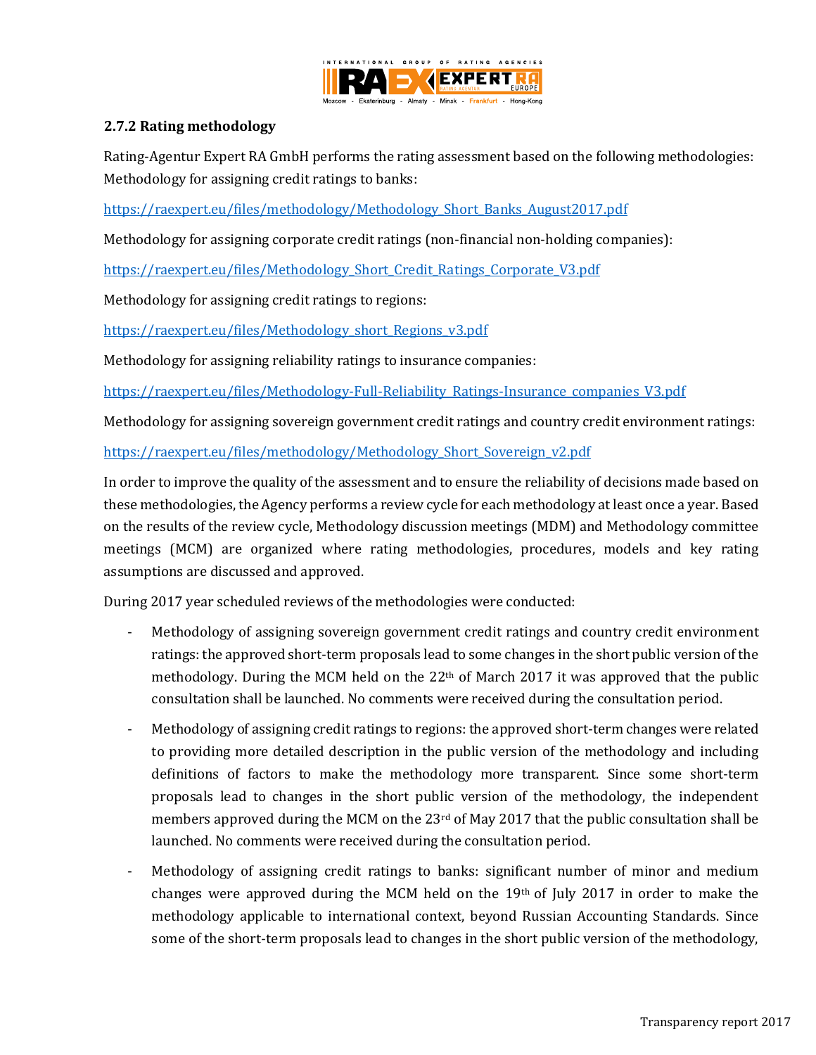

## <span id="page-8-0"></span>**2.7.2 Rating methodology**

Rating-Agentur Expert RA GmbH performs the rating assessment based on the following methodologies: Methodology for assigning credit ratings to banks:

[https://raexpert.eu/files/methodology/Methodology\\_Short\\_Banks\\_August2017.pdf](https://raexpert.eu/files/methodology/Methodology_Short_Banks_August2017.pdf)

Methodology for assigning corporate credit ratings (non-financial non-holding companies):

[https://raexpert.eu/files/Methodology\\_Short\\_Credit\\_Ratings\\_Corporate\\_V3.pdf](https://raexpert.eu/files/Methodology_Short_Credit_Ratings_Corporate_V3.pdf)

Methodology for assigning credit ratings to regions:

[https://raexpert.eu/files/Methodology\\_short\\_Regions\\_v3.pdf](https://raexpert.eu/files/Methodology_short_Regions_v3.pdf)

Methodology for assigning reliability ratings to insurance companies:

[https://raexpert.eu/files/Methodology-Full-Reliability\\_Ratings-Insurance\\_companies\\_V3.pdf](https://raexpert.eu/files/Methodology-Full-Reliability_Ratings-Insurance_companies_V3.pdf)

Methodology for assigning sovereign government credit ratings and country credit environment ratings:

[https://raexpert.eu/files/methodology/Methodology\\_Short\\_Sovereign\\_v2.pdf](https://raexpert.eu/files/methodology/Methodology_Short_Sovereign_v2.pdf)

In order to improve the quality of the assessment and to ensure the reliability of decisions made based on these methodologies, the Agency performs a review cycle for each methodology at least once a year. Based on the results of the review cycle, Methodology discussion meetings (MDM) and Methodology committee meetings (MCM) are organized where rating methodologies, procedures, models and key rating assumptions are discussed and approved.

During 2017 year scheduled reviews of the methodologies were conducted:

- Methodology of assigning sovereign government credit ratings and country credit environment ratings: the approved short-term proposals lead to some changes in the short public version of the methodology. During the MCM held on the 22<sup>th</sup> of March 2017 it was approved that the public consultation shall be launched. No comments were received during the consultation period.
- Methodology of assigning credit ratings to regions: the approved short-term changes were related to providing more detailed description in the public version of the methodology and including definitions of factors to make the methodology more transparent. Since some short-term proposals lead to changes in the short public version of the methodology, the independent members approved during the MCM on the 23<sup>rd</sup> of May 2017 that the public consultation shall be launched. No comments were received during the consultation period.
- Methodology of assigning credit ratings to banks: significant number of minor and medium changes were approved during the MCM held on the 19th of July 2017 in order to make the methodology applicable to international context, beyond Russian Accounting Standards. Since some of the short-term proposals lead to changes in the short public version of the methodology,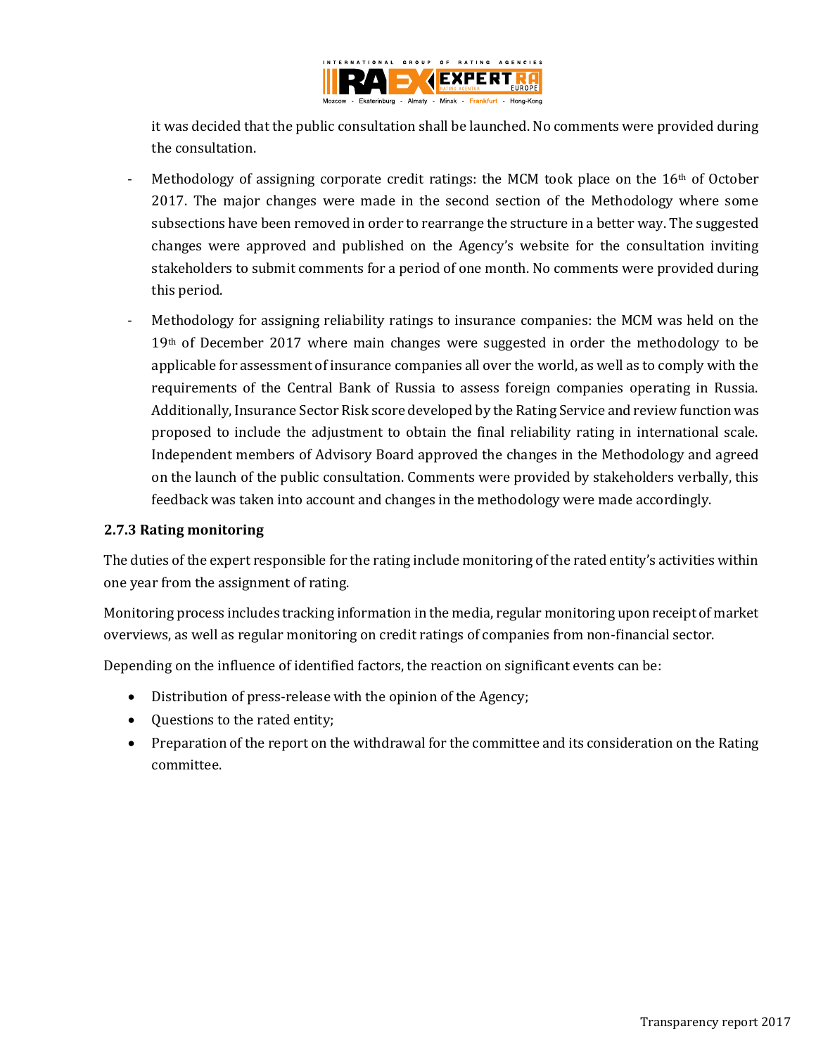

it was decided that the public consultation shall be launched. No comments were provided during the consultation.

- Methodology of assigning corporate credit ratings: the MCM took place on the  $16<sup>th</sup>$  of October 2017. The major changes were made in the second section of the Methodology where some subsections have been removed in order to rearrange the structure in a better way. The suggested changes were approved and published on the Agency's website for the consultation inviting stakeholders to submit comments for a period of one month. No comments were provided during this period.
- Methodology for assigning reliability ratings to insurance companies: the MCM was held on the 19<sup>th</sup> of December 2017 where main changes were suggested in order the methodology to be applicable for assessment of insurance companies all over the world, as well as to comply with the requirements of the Central Bank of Russia to assess foreign companies operating in Russia. Additionally, Insurance Sector Risk score developed by the Rating Service and review function was proposed to include the adjustment to obtain the final reliability rating in international scale. Independent members of Advisory Board approved the changes in the Methodology and agreed on the launch of the public consultation. Comments were provided by stakeholders verbally, this feedback was taken into account and changes in the methodology were made accordingly.

### <span id="page-9-0"></span>**2.7.3 Rating monitoring**

The duties of the expert responsible for the rating include monitoring of the rated entity's activities within one year from the assignment of rating.

Monitoring process includes tracking information in the media, regular monitoring upon receipt of market overviews, as well as regular monitoring on credit ratings of companies from non-financial sector.

Depending on the influence of identified factors, the reaction on significant events can be:

- Distribution of press-release with the opinion of the Agency;
- Ouestions to the rated entity;
- <span id="page-9-1"></span>• Preparation of the report on the withdrawal for the committee and its consideration on the Rating committee.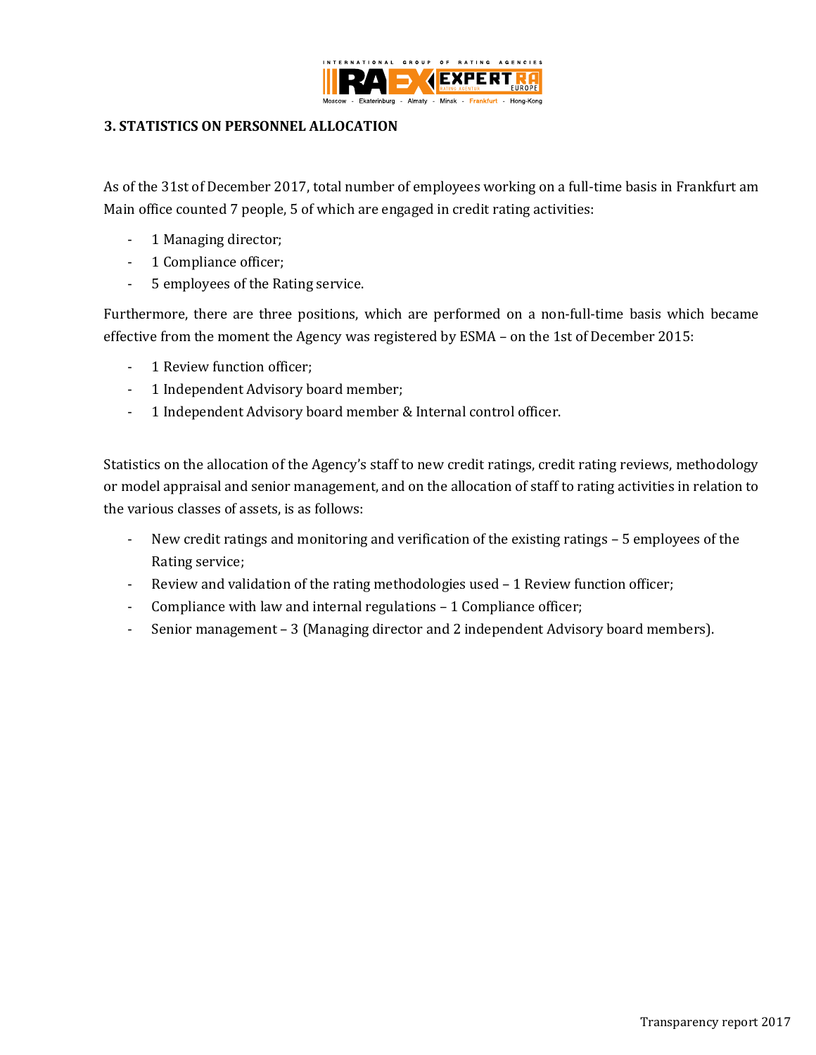

### **3. STATISTICS ON PERSONNEL ALLOCATION**

As of the 31st of December 2017, total number of employees working on a full-time basis in Frankfurt am Main office counted 7 people, 5 of which are engaged in credit rating activities:

- 1 Managing director;
- 1 Compliance officer;
- 5 employees of the Rating service.

Furthermore, there are three positions, which are performed on a non-full-time basis which became effective from the moment the Agency was registered by ESMA – on the 1st of December 2015:

- 1 Review function officer;
- 1 Independent Advisory board member;
- 1 Independent Advisory board member & Internal control officer.

Statistics on the allocation of the Agency's staff to new credit ratings, credit rating reviews, methodology or model appraisal and senior management, and on the allocation of staff to rating activities in relation to the various classes of assets, is as follows:

- New credit ratings and monitoring and verification of the existing ratings 5 employees of the Rating service;
- Review and validation of the rating methodologies used 1 Review function officer;
- Compliance with law and internal regulations 1 Compliance officer;
- Senior management 3 (Managing director and 2 independent Advisory board members).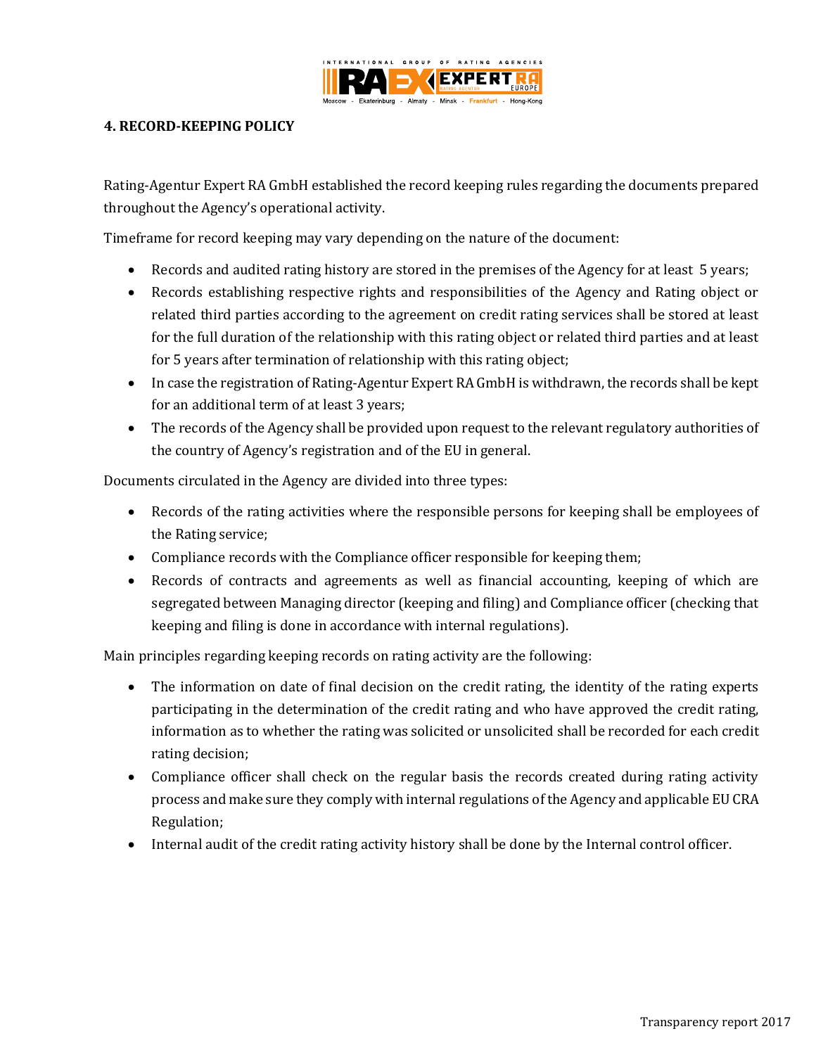

### <span id="page-11-0"></span>**4. RECORD-KEEPING POLICY**

Rating-Agentur Expert RA GmbH established the record keeping rules regarding the documents prepared throughout the Agency's operational activity.

Timeframe for record keeping may vary depending on the nature of the document:

- Records and audited rating history are stored in the premises of the Agency for at least 5 years;
- Records establishing respective rights and responsibilities of the Agency and Rating object or related third parties according to the agreement on credit rating services shall be stored at least for the full duration of the relationship with this rating object or related third parties and at least for 5 years after termination of relationship with this rating object;
- In case the registration of Rating-Agentur Expert RA GmbH is withdrawn, the records shall be kept for an additional term of at least 3 years;
- The records of the Agency shall be provided upon request to the relevant regulatory authorities of the country of Agency's registration and of the EU in general.

Documents circulated in the Agency are divided into three types:

- Records of the rating activities where the responsible persons for keeping shall be employees of the Rating service;
- Compliance records with the Compliance officer responsible for keeping them;
- Records of contracts and agreements as well as financial accounting, keeping of which are segregated between Managing director (keeping and filing) and Compliance officer (checking that keeping and filing is done in accordance with internal regulations).

Main principles regarding keeping records on rating activity are the following:

- The information on date of final decision on the credit rating, the identity of the rating experts participating in the determination of the credit rating and who have approved the credit rating, information as to whether the rating was solicited or unsolicited shall be recorded for each credit rating decision;
- Compliance officer shall check on the regular basis the records created during rating activity process and make sure they comply with internal regulations of the Agency and applicable EU CRA Regulation;
- <span id="page-11-1"></span>Internal audit of the credit rating activity history shall be done by the Internal control officer.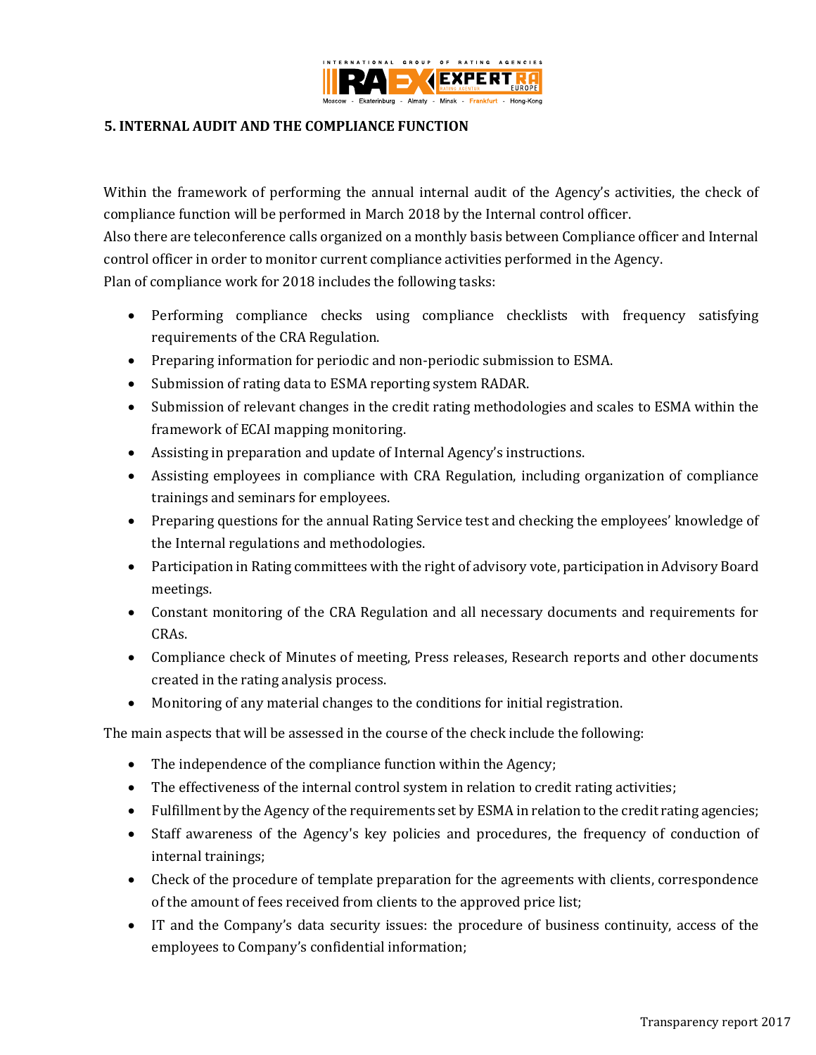

### **5. INTERNAL AUDIT AND THE COMPLIANCE FUNCTION**

Within the framework of performing the annual internal audit of the Agency's activities, the check of compliance function will be performed in March 2018 by the Internal control officer.

Also there are teleconference calls organized on a monthly basis between Compliance officer and Internal control officer in order to monitor current compliance activities performed in the Agency. Plan of compliance work for 2018 includes the following tasks:

- Performing compliance checks using compliance checklists with frequency satisfying requirements of the CRA Regulation.
- Preparing information for periodic and non-periodic submission to ESMA.
- Submission of rating data to ESMA reporting system RADAR.
- Submission of relevant changes in the credit rating methodologies and scales to ESMA within the framework of ECAI mapping monitoring.
- Assisting in preparation and update of Internal Agency's instructions.
- Assisting employees in compliance with CRA Regulation, including organization of compliance trainings and seminars for employees.
- Preparing questions for the annual Rating Service test and checking the employees' knowledge of the Internal regulations and methodologies.
- Participation in Rating committees with the right of advisory vote, participation in Advisory Board meetings.
- Constant monitoring of the CRA Regulation and all necessary documents and requirements for CRAs.
- Compliance check of Minutes of meeting, Press releases, Research reports and other documents created in the rating analysis process.
- Monitoring of any material changes to the conditions for initial registration.

The main aspects that will be assessed in the course of the check include the following:

- The independence of the compliance function within the Agency;
- The effectiveness of the internal control system in relation to credit rating activities;
- Fulfillment by the Agency of the requirements set by ESMA in relation to the credit rating agencies;
- Staff awareness of the Agency's key policies and procedures, the frequency of conduction of internal trainings;
- Check of the procedure of template preparation for the agreements with clients, correspondence of the amount of fees received from clients to the approved price list;
- IT and the Company's data security issues: the procedure of business continuity, access of the employees to Company's confidential information;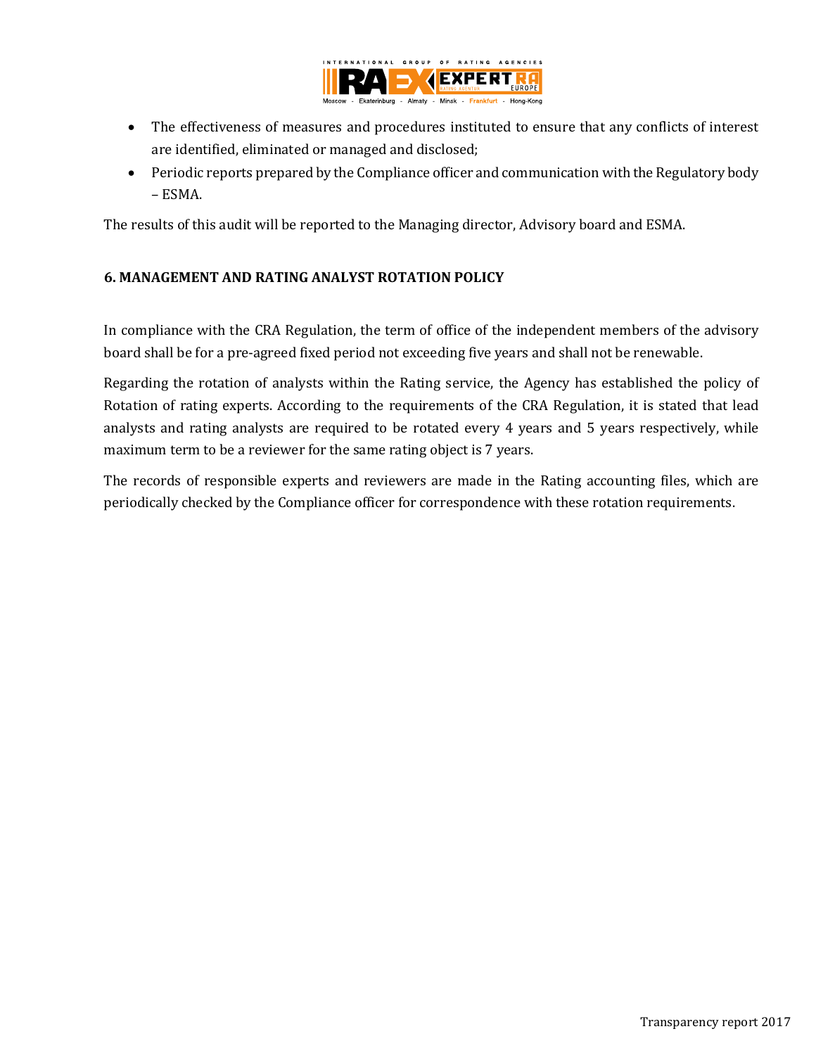

- The effectiveness of measures and procedures instituted to ensure that any conflicts of interest are identified, eliminated or managed and disclosed;
- Periodic reports prepared by the Compliance officer and communication with the Regulatory body – ESMA.

The results of this audit will be reported to the Managing director, Advisory board and ESMA.

# <span id="page-13-0"></span>**6. MANAGEMENT AND RATING ANALYST ROTATION POLICY**

In compliance with the CRA Regulation, the term of office of the independent members of the advisory board shall be for a pre-agreed fixed period not exceeding five years and shall not be renewable.

Regarding the rotation of analysts within the Rating service, the Agency has established the policy of Rotation of rating experts. According to the requirements of the CRA Regulation, it is stated that lead analysts and rating analysts are required to be rotated every 4 years and 5 years respectively, while maximum term to be a reviewer for the same rating object is 7 years.

The records of responsible experts and reviewers are made in the Rating accounting files, which are periodically checked by the Compliance officer for correspondence with these rotation requirements.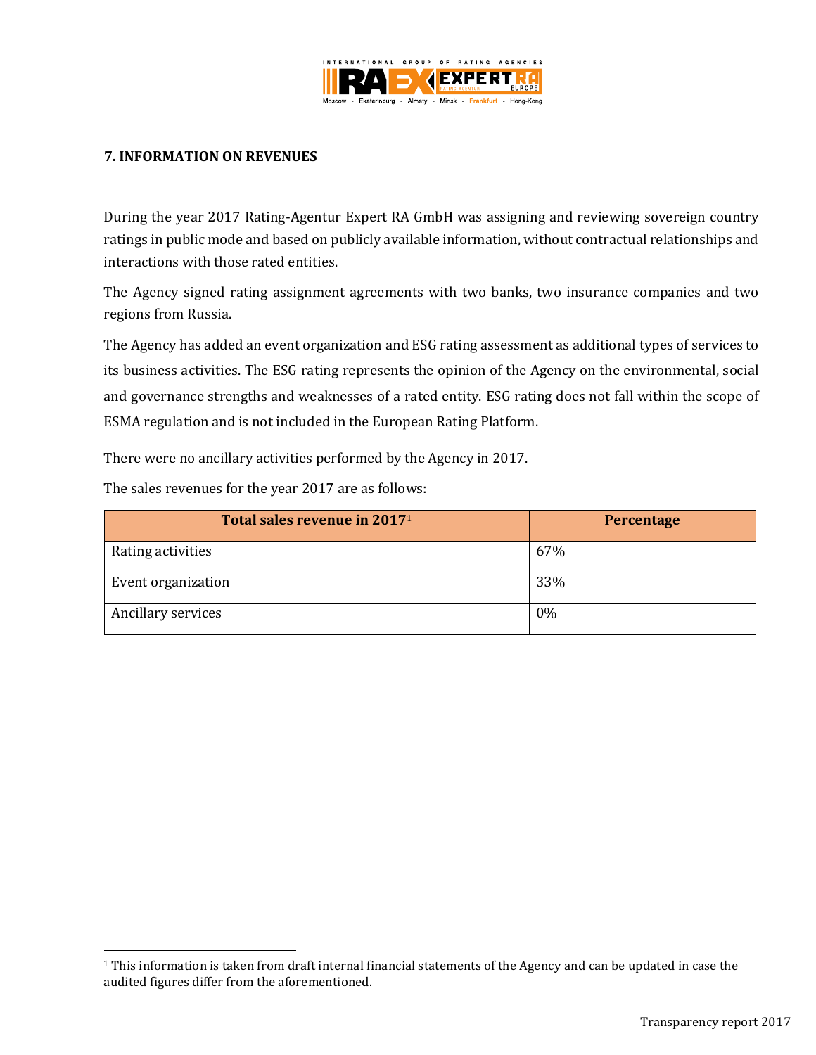

### <span id="page-14-0"></span>**7. INFORMATION ON REVENUES**

During the year 2017 Rating-Agentur Expert RA GmbH was assigning and reviewing sovereign country ratings in public mode and based on publicly available information, without contractual relationships and interactions with those rated entities.

The Agency signed rating assignment agreements with two banks, two insurance companies and two regions from Russia.

The Agency has added an event organization and ESG rating assessment as additional types of services to its business activities. The ESG rating represents the opinion of the Agency on the environmental, social and governance strengths and weaknesses of a rated entity. ESG rating does not fall within the scope of ESMA regulation and is not included in the European Rating Platform.

There were no ancillary activities performed by the Agency in 2017.

The sales revenues for the year 2017 are as follows:

<span id="page-14-1"></span>l

| Total sales revenue in 2017 <sup>1</sup> | Percentage |
|------------------------------------------|------------|
| Rating activities                        | 67%        |
| Event organization                       | 33%        |
| Ancillary services                       | 0%         |

<sup>1</sup> This information is taken from draft internal financial statements of the Agency and can be updated in case the audited figures differ from the aforementioned.